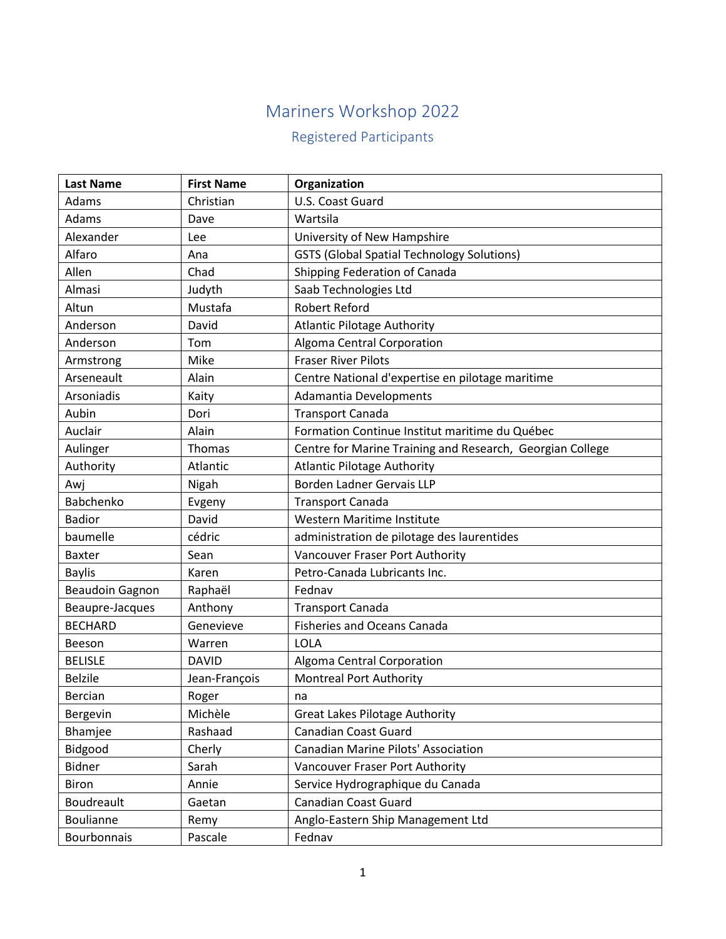## Mariners Workshop 2022

## Registered Participants

| <b>Last Name</b>       | <b>First Name</b> | Organization                                              |
|------------------------|-------------------|-----------------------------------------------------------|
| Adams                  | Christian         | U.S. Coast Guard                                          |
| Adams                  | Dave              | Wartsila                                                  |
| Alexander              | Lee               | University of New Hampshire                               |
| Alfaro                 | Ana               | <b>GSTS (Global Spatial Technology Solutions)</b>         |
| Allen                  | Chad              | Shipping Federation of Canada                             |
| Almasi                 | Judyth            | Saab Technologies Ltd                                     |
| Altun                  | Mustafa           | <b>Robert Reford</b>                                      |
| Anderson               | David             | <b>Atlantic Pilotage Authority</b>                        |
| Anderson               | Tom               | Algoma Central Corporation                                |
| Armstrong              | Mike              | <b>Fraser River Pilots</b>                                |
| Arseneault             | Alain             | Centre National d'expertise en pilotage maritime          |
| Arsoniadis             | Kaity             | Adamantia Developments                                    |
| Aubin                  | Dori              | <b>Transport Canada</b>                                   |
| Auclair                | Alain             | Formation Continue Institut maritime du Québec            |
| Aulinger               | <b>Thomas</b>     | Centre for Marine Training and Research, Georgian College |
| Authority              | Atlantic          | <b>Atlantic Pilotage Authority</b>                        |
| Awj                    | Nigah             | <b>Borden Ladner Gervais LLP</b>                          |
| Babchenko              | Evgeny            | <b>Transport Canada</b>                                   |
| <b>Badior</b>          | David             | Western Maritime Institute                                |
| baumelle               | cédric            | administration de pilotage des laurentides                |
| <b>Baxter</b>          | Sean              | Vancouver Fraser Port Authority                           |
| <b>Baylis</b>          | Karen             | Petro-Canada Lubricants Inc.                              |
| <b>Beaudoin Gagnon</b> | Raphaël           | Fednav                                                    |
| Beaupre-Jacques        | Anthony           | <b>Transport Canada</b>                                   |
| <b>BECHARD</b>         | Genevieve         | <b>Fisheries and Oceans Canada</b>                        |
| Beeson                 | Warren            | <b>LOLA</b>                                               |
| <b>BELISLE</b>         | <b>DAVID</b>      | Algoma Central Corporation                                |
| <b>Belzile</b>         | Jean-François     | <b>Montreal Port Authority</b>                            |
| <b>Bercian</b>         | Roger             | na                                                        |
| Bergevin               | Michèle           | <b>Great Lakes Pilotage Authority</b>                     |
| Bhamjee                | Rashaad           | <b>Canadian Coast Guard</b>                               |
| Bidgood                | Cherly            | Canadian Marine Pilots' Association                       |
| <b>Bidner</b>          | Sarah             | Vancouver Fraser Port Authority                           |
| <b>Biron</b>           | Annie             | Service Hydrographique du Canada                          |
| Boudreault             | Gaetan            | <b>Canadian Coast Guard</b>                               |
| Boulianne              | Remy              | Anglo-Eastern Ship Management Ltd                         |
| Bourbonnais            | Pascale           | Fednav                                                    |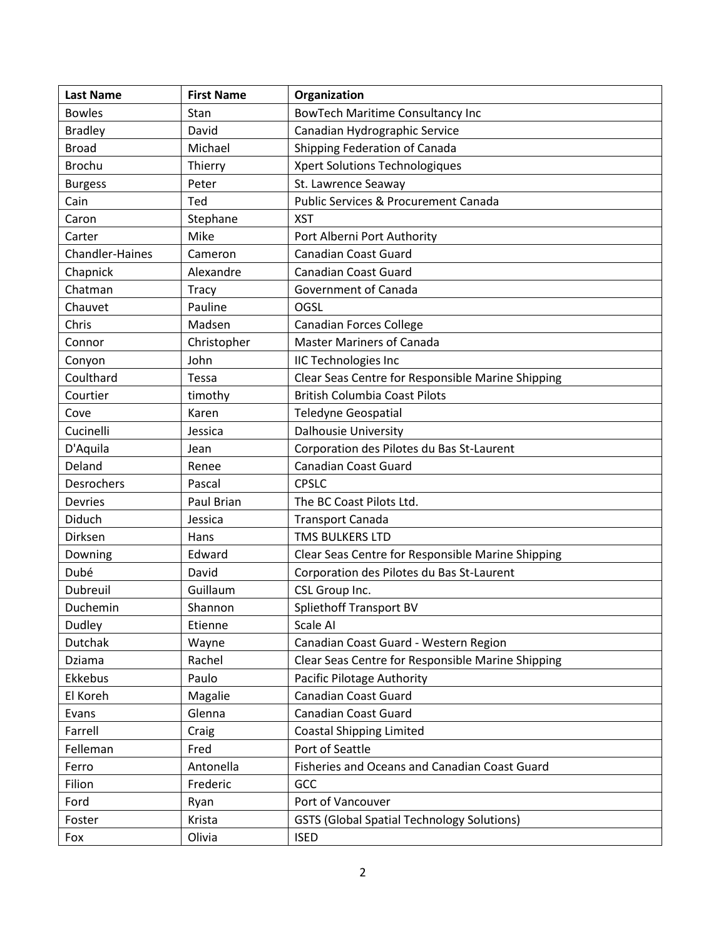| <b>Last Name</b>       | <b>First Name</b> | Organization                                      |
|------------------------|-------------------|---------------------------------------------------|
| <b>Bowles</b>          | Stan              | <b>BowTech Maritime Consultancy Inc</b>           |
| <b>Bradley</b>         | David             | Canadian Hydrographic Service                     |
| <b>Broad</b>           | Michael           | Shipping Federation of Canada                     |
| <b>Brochu</b>          | Thierry           | Xpert Solutions Technologiques                    |
| <b>Burgess</b>         | Peter             | St. Lawrence Seaway                               |
| Cain                   | Ted               | <b>Public Services &amp; Procurement Canada</b>   |
| Caron                  | Stephane          | <b>XST</b>                                        |
| Carter                 | Mike              | Port Alberni Port Authority                       |
| <b>Chandler-Haines</b> | Cameron           | <b>Canadian Coast Guard</b>                       |
| Chapnick               | Alexandre         | <b>Canadian Coast Guard</b>                       |
| Chatman                | Tracy             | <b>Government of Canada</b>                       |
| Chauvet                | Pauline           | OGSL                                              |
| Chris                  | Madsen            | <b>Canadian Forces College</b>                    |
| Connor                 | Christopher       | <b>Master Mariners of Canada</b>                  |
| Conyon                 | John              | <b>IIC Technologies Inc</b>                       |
| Coulthard              | Tessa             | Clear Seas Centre for Responsible Marine Shipping |
| Courtier               | timothy           | <b>British Columbia Coast Pilots</b>              |
| Cove                   | Karen             | <b>Teledyne Geospatial</b>                        |
| Cucinelli              | Jessica           | <b>Dalhousie University</b>                       |
| D'Aquila               | Jean              | Corporation des Pilotes du Bas St-Laurent         |
| Deland                 | Renee             | <b>Canadian Coast Guard</b>                       |
| Desrochers             | Pascal            | <b>CPSLC</b>                                      |
| <b>Devries</b>         | Paul Brian        | The BC Coast Pilots Ltd.                          |
| Diduch                 | Jessica           | <b>Transport Canada</b>                           |
| Dirksen                | Hans              | TMS BULKERS LTD                                   |
| Downing                | Edward            | Clear Seas Centre for Responsible Marine Shipping |
| Dubé                   | David             | Corporation des Pilotes du Bas St-Laurent         |
| Dubreuil               | Guillaum          | CSL Group Inc.                                    |
| Duchemin               | Shannon           | <b>Spliethoff Transport BV</b>                    |
| Dudley                 | Etienne           | Scale AI                                          |
| Dutchak                | Wayne             | Canadian Coast Guard - Western Region             |
| Dziama                 | Rachel            | Clear Seas Centre for Responsible Marine Shipping |
| Ekkebus                | Paulo             | Pacific Pilotage Authority                        |
| El Koreh               | Magalie           | <b>Canadian Coast Guard</b>                       |
| Evans                  | Glenna            | <b>Canadian Coast Guard</b>                       |
| Farrell                | Craig             | <b>Coastal Shipping Limited</b>                   |
| Felleman               | Fred              | Port of Seattle                                   |
| Ferro                  | Antonella         | Fisheries and Oceans and Canadian Coast Guard     |
| Filion                 | Frederic          | GCC                                               |
| Ford                   | Ryan              | Port of Vancouver                                 |
| Foster                 | Krista            | <b>GSTS (Global Spatial Technology Solutions)</b> |
| Fox                    | Olivia            | <b>ISED</b>                                       |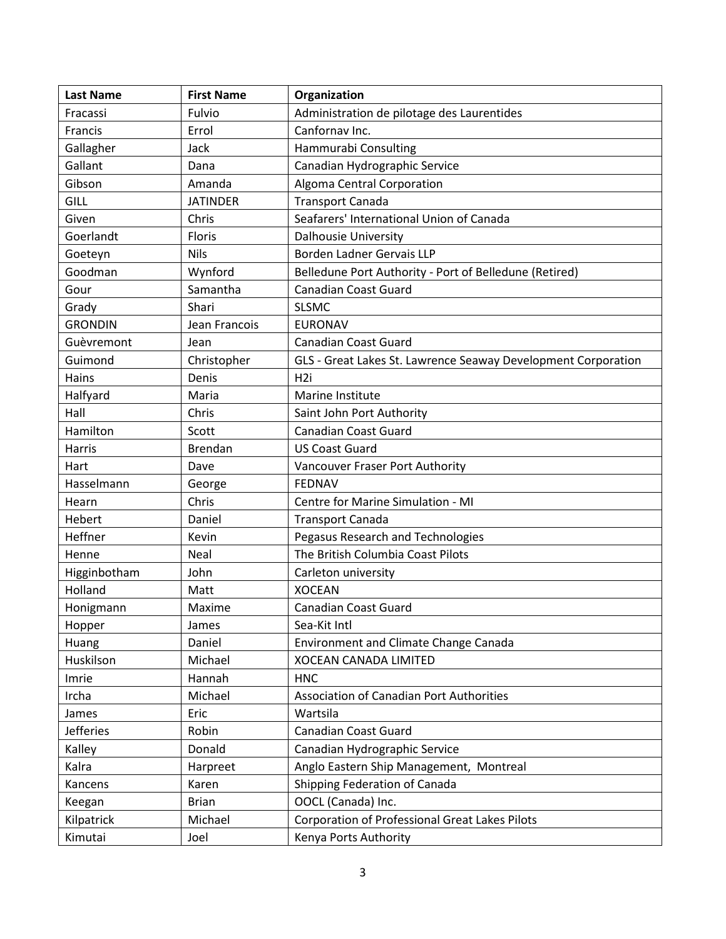| <b>Last Name</b> | <b>First Name</b> | Organization                                                  |
|------------------|-------------------|---------------------------------------------------------------|
| Fracassi         | Fulvio            | Administration de pilotage des Laurentides                    |
| Francis          | Errol             | Canfornav Inc.                                                |
| Gallagher        | Jack              | Hammurabi Consulting                                          |
| Gallant          | Dana              | Canadian Hydrographic Service                                 |
| Gibson           | Amanda            | Algoma Central Corporation                                    |
| GILL             | <b>JATINDER</b>   | <b>Transport Canada</b>                                       |
| Given            | Chris             | Seafarers' International Union of Canada                      |
| Goerlandt        | Floris            | <b>Dalhousie University</b>                                   |
| Goeteyn          | <b>Nils</b>       | Borden Ladner Gervais LLP                                     |
| Goodman          | Wynford           | Belledune Port Authority - Port of Belledune (Retired)        |
| Gour             | Samantha          | <b>Canadian Coast Guard</b>                                   |
| Grady            | Shari             | <b>SLSMC</b>                                                  |
| <b>GRONDIN</b>   | Jean Francois     | <b>EURONAV</b>                                                |
| Guèvremont       | Jean              | <b>Canadian Coast Guard</b>                                   |
| Guimond          | Christopher       | GLS - Great Lakes St. Lawrence Seaway Development Corporation |
| Hains            | Denis             | H <sub>2i</sub>                                               |
| Halfyard         | Maria             | Marine Institute                                              |
| Hall             | Chris             | Saint John Port Authority                                     |
| Hamilton         | Scott             | Canadian Coast Guard                                          |
| <b>Harris</b>    | <b>Brendan</b>    | <b>US Coast Guard</b>                                         |
| Hart             | Dave              | Vancouver Fraser Port Authority                               |
| Hasselmann       | George            | <b>FEDNAV</b>                                                 |
| Hearn            | Chris             | Centre for Marine Simulation - MI                             |
| Hebert           | Daniel            | <b>Transport Canada</b>                                       |
| Heffner          | Kevin             | Pegasus Research and Technologies                             |
| Henne            | Neal              | The British Columbia Coast Pilots                             |
| Higginbotham     | John              | Carleton university                                           |
| Holland          | Matt              | <b>XOCEAN</b>                                                 |
| Honigmann        | Maxime            | <b>Canadian Coast Guard</b>                                   |
| Hopper           | James             | Sea-Kit Intl                                                  |
| Huang            | Daniel            | <b>Environment and Climate Change Canada</b>                  |
| Huskilson        | Michael           | XOCEAN CANADA LIMITED                                         |
| Imrie            | Hannah            | <b>HNC</b>                                                    |
| Ircha            | Michael           | <b>Association of Canadian Port Authorities</b>               |
| James            | Eric              | Wartsila                                                      |
| <b>Jefferies</b> | Robin             | <b>Canadian Coast Guard</b>                                   |
| Kalley           | Donald            | Canadian Hydrographic Service                                 |
| Kalra            | Harpreet          | Anglo Eastern Ship Management, Montreal                       |
| Kancens          | Karen             | Shipping Federation of Canada                                 |
| Keegan           | <b>Brian</b>      | OOCL (Canada) Inc.                                            |
| Kilpatrick       | Michael           | <b>Corporation of Professional Great Lakes Pilots</b>         |
| Kimutai          | Joel              | Kenya Ports Authority                                         |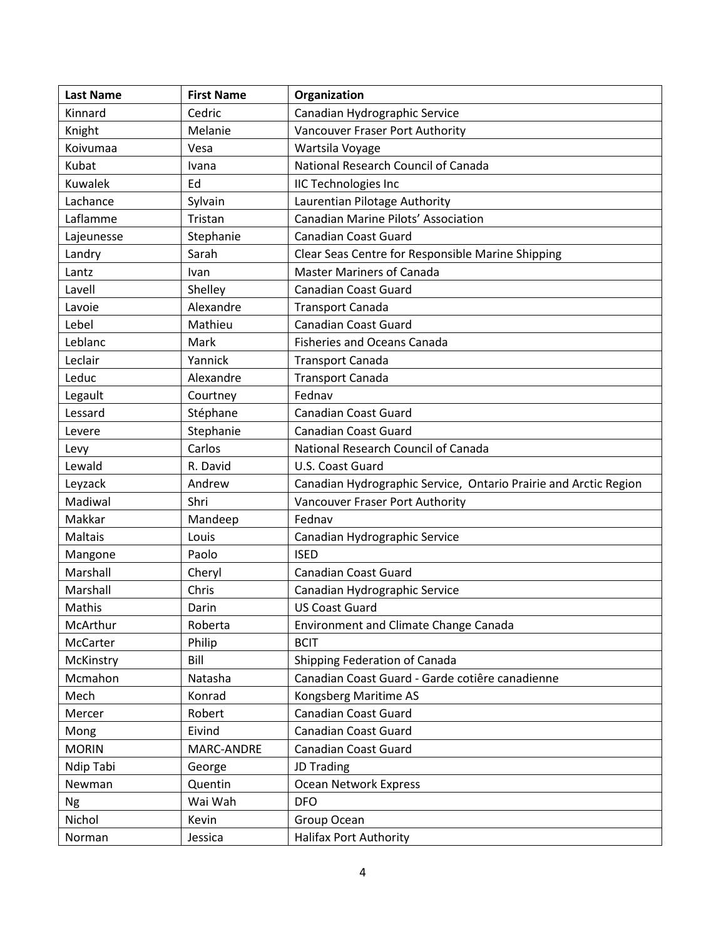| <b>Last Name</b> | <b>First Name</b> | Organization                                                     |
|------------------|-------------------|------------------------------------------------------------------|
| Kinnard          | Cedric            | Canadian Hydrographic Service                                    |
| Knight           | Melanie           | Vancouver Fraser Port Authority                                  |
| Koivumaa         | Vesa              | Wartsila Voyage                                                  |
| Kubat            | Ivana             | National Research Council of Canada                              |
| Kuwalek          | Ed                | <b>IIC Technologies Inc</b>                                      |
| Lachance         | Sylvain           | Laurentian Pilotage Authority                                    |
| Laflamme         | Tristan           | Canadian Marine Pilots' Association                              |
| Lajeunesse       | Stephanie         | <b>Canadian Coast Guard</b>                                      |
| Landry           | Sarah             | Clear Seas Centre for Responsible Marine Shipping                |
| Lantz            | Ivan              | <b>Master Mariners of Canada</b>                                 |
| Lavell           | Shelley           | <b>Canadian Coast Guard</b>                                      |
| Lavoie           | Alexandre         | <b>Transport Canada</b>                                          |
| Lebel            | Mathieu           | <b>Canadian Coast Guard</b>                                      |
| Leblanc          | Mark              | <b>Fisheries and Oceans Canada</b>                               |
| Leclair          | Yannick           | <b>Transport Canada</b>                                          |
| Leduc            | Alexandre         | <b>Transport Canada</b>                                          |
| Legault          | Courtney          | Fednav                                                           |
| Lessard          | Stéphane          | Canadian Coast Guard                                             |
| Levere           | Stephanie         | <b>Canadian Coast Guard</b>                                      |
| Levy             | Carlos            | National Research Council of Canada                              |
| Lewald           | R. David          | U.S. Coast Guard                                                 |
| Leyzack          | Andrew            | Canadian Hydrographic Service, Ontario Prairie and Arctic Region |
| Madiwal          | Shri              | Vancouver Fraser Port Authority                                  |
| Makkar           | Mandeep           | Fednav                                                           |
| Maltais          | Louis             | Canadian Hydrographic Service                                    |
| Mangone          | Paolo             | <b>ISED</b>                                                      |
| Marshall         | Cheryl            | <b>Canadian Coast Guard</b>                                      |
| Marshall         | Chris             | Canadian Hydrographic Service                                    |
| Mathis           | Darin             | <b>US Coast Guard</b>                                            |
| McArthur         | Roberta           | <b>Environment and Climate Change Canada</b>                     |
| McCarter         | Philip            | <b>BCIT</b>                                                      |
| McKinstry        | Bill              | Shipping Federation of Canada                                    |
| Mcmahon          | Natasha           | Canadian Coast Guard - Garde cotiêre canadienne                  |
| Mech             | Konrad            | Kongsberg Maritime AS                                            |
| Mercer           | Robert            | <b>Canadian Coast Guard</b>                                      |
| Mong             | Eivind            | <b>Canadian Coast Guard</b>                                      |
| <b>MORIN</b>     | MARC-ANDRE        | <b>Canadian Coast Guard</b>                                      |
| Ndip Tabi        | George            | JD Trading                                                       |
| Newman           | Quentin           | Ocean Network Express                                            |
| <b>Ng</b>        | Wai Wah           | <b>DFO</b>                                                       |
| Nichol           | Kevin             | Group Ocean                                                      |
| Norman           | Jessica           | <b>Halifax Port Authority</b>                                    |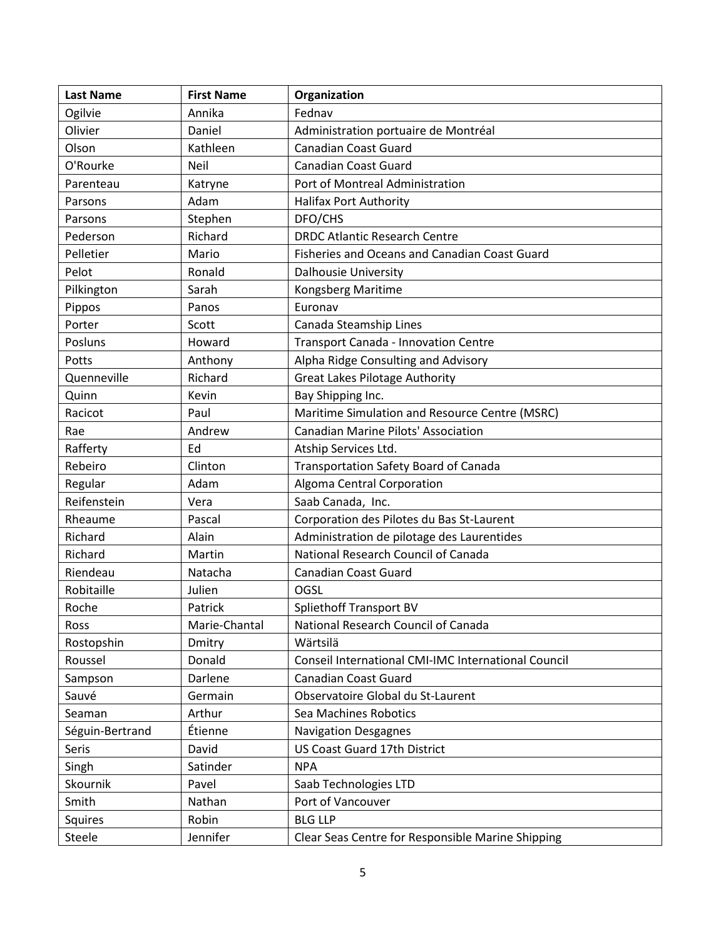| <b>Last Name</b> | <b>First Name</b> | Organization                                        |
|------------------|-------------------|-----------------------------------------------------|
| Ogilvie          | Annika            | Fednav                                              |
| Olivier          | Daniel            | Administration portuaire de Montréal                |
| Olson            | Kathleen          | Canadian Coast Guard                                |
| O'Rourke         | Neil              | <b>Canadian Coast Guard</b>                         |
| Parenteau        | Katryne           | Port of Montreal Administration                     |
| Parsons          | Adam              | <b>Halifax Port Authority</b>                       |
| Parsons          | Stephen           | DFO/CHS                                             |
| Pederson         | Richard           | <b>DRDC Atlantic Research Centre</b>                |
| Pelletier        | Mario             | Fisheries and Oceans and Canadian Coast Guard       |
| Pelot            | Ronald            | <b>Dalhousie University</b>                         |
| Pilkington       | Sarah             | Kongsberg Maritime                                  |
| Pippos           | Panos             | Euronav                                             |
| Porter           | Scott             | Canada Steamship Lines                              |
| Posluns          | Howard            | Transport Canada - Innovation Centre                |
| Potts            | Anthony           | Alpha Ridge Consulting and Advisory                 |
| Quenneville      | Richard           | <b>Great Lakes Pilotage Authority</b>               |
| Quinn            | Kevin             | Bay Shipping Inc.                                   |
| Racicot          | Paul              | Maritime Simulation and Resource Centre (MSRC)      |
| Rae              | Andrew            | Canadian Marine Pilots' Association                 |
| Rafferty         | Ed                | Atship Services Ltd.                                |
| Rebeiro          | Clinton           | Transportation Safety Board of Canada               |
| Regular          | Adam              | Algoma Central Corporation                          |
| Reifenstein      | Vera              | Saab Canada, Inc.                                   |
| Rheaume          | Pascal            | Corporation des Pilotes du Bas St-Laurent           |
| Richard          | Alain             | Administration de pilotage des Laurentides          |
| Richard          | Martin            | National Research Council of Canada                 |
| Riendeau         | Natacha           | <b>Canadian Coast Guard</b>                         |
| Robitaille       | Julien            | OGSL                                                |
| Roche            | Patrick           | <b>Spliethoff Transport BV</b>                      |
| Ross             | Marie-Chantal     | National Research Council of Canada                 |
| Rostopshin       | Dmitry            | Wärtsilä                                            |
| Roussel          | Donald            | Conseil International CMI-IMC International Council |
| Sampson          | Darlene           | <b>Canadian Coast Guard</b>                         |
| Sauvé            | Germain           | Observatoire Global du St-Laurent                   |
| Seaman           | Arthur            | Sea Machines Robotics                               |
| Séguin-Bertrand  | Étienne           | <b>Navigation Desgagnes</b>                         |
| Seris            | David             | <b>US Coast Guard 17th District</b>                 |
| Singh            | Satinder          | <b>NPA</b>                                          |
| Skournik         | Pavel             | Saab Technologies LTD                               |
| Smith            | Nathan            | Port of Vancouver                                   |
| Squires          | Robin             | <b>BLG LLP</b>                                      |
| Steele           | Jennifer          | Clear Seas Centre for Responsible Marine Shipping   |